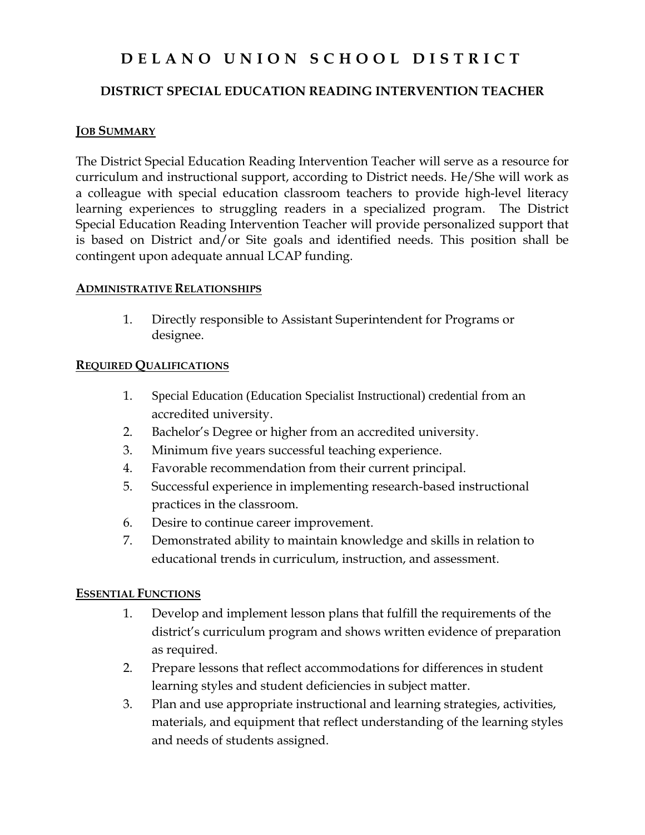# **D E L A N O U N I O N S C H O O L D I S T R I C T**

### **DISTRICT SPECIAL EDUCATION READING INTERVENTION TEACHER**

#### **JOB SUMMARY**

The District Special Education Reading Intervention Teacher will serve as a resource for curriculum and instructional support, according to District needs. He/She will work as a colleague with special education classroom teachers to provide high-level literacy learning experiences to struggling readers in a specialized program. The District Special Education Reading Intervention Teacher will provide personalized support that is based on District and/or Site goals and identified needs. This position shall be contingent upon adequate annual LCAP funding.

#### **ADMINISTRATIVE RELATIONSHIPS**

1. Directly responsible to Assistant Superintendent for Programs or designee.

#### **REQUIRED QUALIFICATIONS**

- 1. Special Education (Education Specialist Instructional) credential from an accredited university.
- 2. Bachelor's Degree or higher from an accredited university.
- 3. Minimum five years successful teaching experience.
- 4. Favorable recommendation from their current principal.
- 5. Successful experience in implementing research-based instructional practices in the classroom.
- 6. Desire to continue career improvement.
- 7. Demonstrated ability to maintain knowledge and skills in relation to educational trends in curriculum, instruction, and assessment.

#### **ESSENTIAL FUNCTIONS**

- 1. Develop and implement lesson plans that fulfill the requirements of the district's curriculum program and shows written evidence of preparation as required.
- 2. Prepare lessons that reflect accommodations for differences in student learning styles and student deficiencies in subject matter.
- 3. Plan and use appropriate instructional and learning strategies, activities, materials, and equipment that reflect understanding of the learning styles and needs of students assigned.